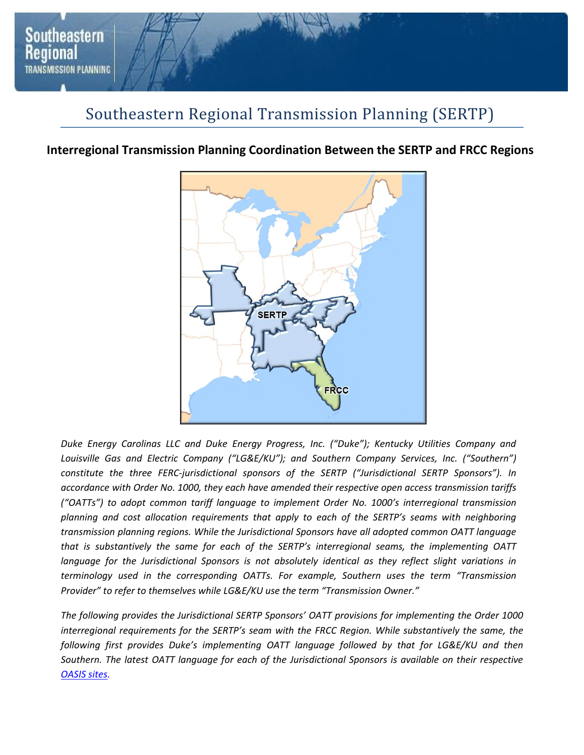

## Southeastern Regional Transmission Planning (SERTP)

## **Interregional Transmission Planning Coordination Between the SERTP and FRCC Regions**



*Duke Energy Carolinas LLC and Duke Energy Progress, Inc. ("Duke"); Kentucky Utilities Company and*  Louisville Gas and Electric Company ("LG&E/KU"); and Southern Company Services, Inc. ("Southern") *constitute the three FERC-jurisdictional sponsors of the SERTP ("Jurisdictional SERTP Sponsors"). In accordance with Order No. 1000, they each have amended their respective open access transmission tariffs ("OATTs") to adopt common tariff language to implement Order No. 1000's interregional transmission planning and cost allocation requirements that apply to each of the SERTP's seams with neighboring transmission planning regions. While the Jurisdictional Sponsors have all adopted common OATT language that is substantively the same for each of the SERTP's interregional seams, the implementing OATT*  language for the Jurisdictional Sponsors is not absolutely identical as they reflect slight variations in *terminology used in the corresponding OATTs. For example, Southern uses the term "Transmission Provider" to refer to themselves while LG&E/KU use the term "Transmission Owner."* 

*The following provides the Jurisdictional SERTP Sponsors' OATT provisions for implementing the Order 1000 interregional requirements for the SERTP's seam with the FRCC Region. While substantively the same, the following first provides Duke's implementing OATT language followed by that for LG&E/KU and then Southern. The latest OATT language for each of the Jurisdictional Sponsors is available on their respective OASIS sites.*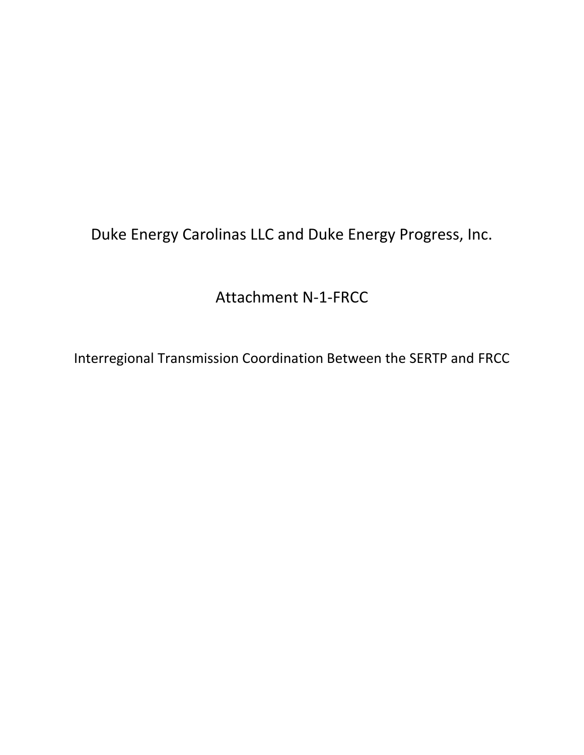Duke Energy Carolinas LLC and Duke Energy Progress, Inc.

Attachment N-1-FRCC

Interregional Transmission Coordination Between the SERTP and FRCC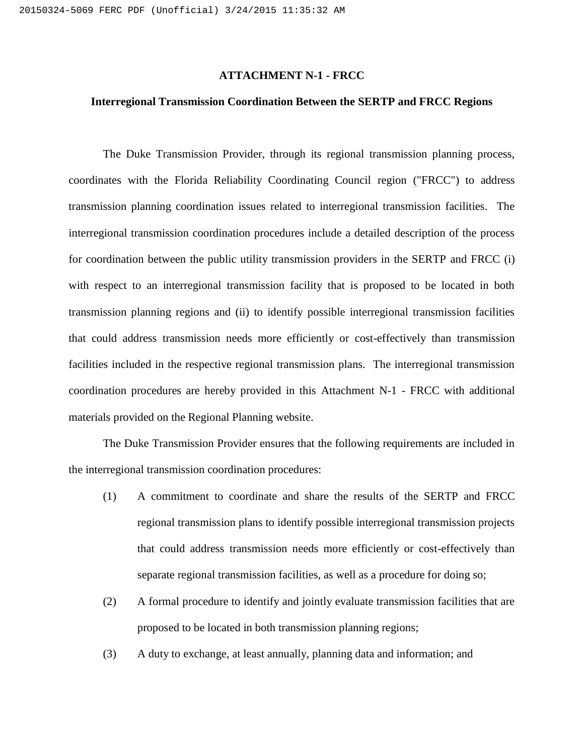#### **ATTACHMENT N-1 - FRCC**

## **Interregional Transmission Coordination Between the SERTP and FRCC Regions**

The Duke Transmission Provider, through its regional transmission planning process, coordinates with the Florida Reliability Coordinating Council region ("FRCC") to address transmission planning coordination issues related to interregional transmission facilities. The interregional transmission coordination procedures include a detailed description of the process for coordination between the public utility transmission providers in the SERTP and FRCC (i) with respect to an interregional transmission facility that is proposed to be located in both transmission planning regions and (ii) to identify possible interregional transmission facilities that could address transmission needs more efficiently or cost-effectively than transmission facilities included in the respective regional transmission plans. The interregional transmission coordination procedures are hereby provided in this Attachment N-1 - FRCC with additional materials provided on the Regional Planning website.

The Duke Transmission Provider ensures that the following requirements are included in the interregional transmission coordination procedures:

- (1) A commitment to coordinate and share the results of the SERTP and FRCC regional transmission plans to identify possible interregional transmission projects that could address transmission needs more efficiently or cost-effectively than separate regional transmission facilities, as well as a procedure for doing so;
- (2) A formal procedure to identify and jointly evaluate transmission facilities that are proposed to be located in both transmission planning regions;
- (3) A duty to exchange, at least annually, planning data and information; and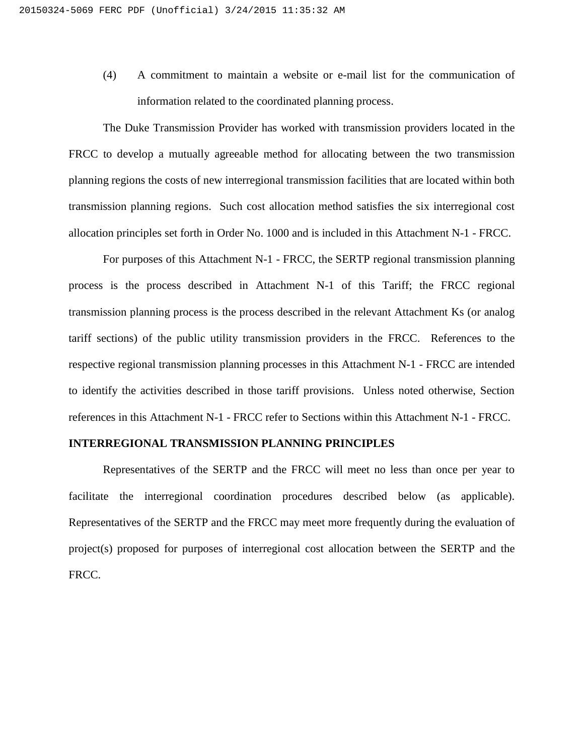(4) A commitment to maintain a website or e-mail list for the communication of information related to the coordinated planning process.

The Duke Transmission Provider has worked with transmission providers located in the FRCC to develop a mutually agreeable method for allocating between the two transmission planning regions the costs of new interregional transmission facilities that are located within both transmission planning regions. Such cost allocation method satisfies the six interregional cost allocation principles set forth in Order No. 1000 and is included in this Attachment N-1 - FRCC.

For purposes of this Attachment N-1 - FRCC, the SERTP regional transmission planning process is the process described in Attachment N-1 of this Tariff; the FRCC regional transmission planning process is the process described in the relevant Attachment Ks (or analog tariff sections) of the public utility transmission providers in the FRCC. References to the respective regional transmission planning processes in this Attachment N-1 - FRCC are intended to identify the activities described in those tariff provisions. Unless noted otherwise, Section references in this Attachment N-1 - FRCC refer to Sections within this Attachment N-1 - FRCC.

### **INTERREGIONAL TRANSMISSION PLANNING PRINCIPLES**

Representatives of the SERTP and the FRCC will meet no less than once per year to facilitate the interregional coordination procedures described below (as applicable). Representatives of the SERTP and the FRCC may meet more frequently during the evaluation of project(s) proposed for purposes of interregional cost allocation between the SERTP and the FRCC.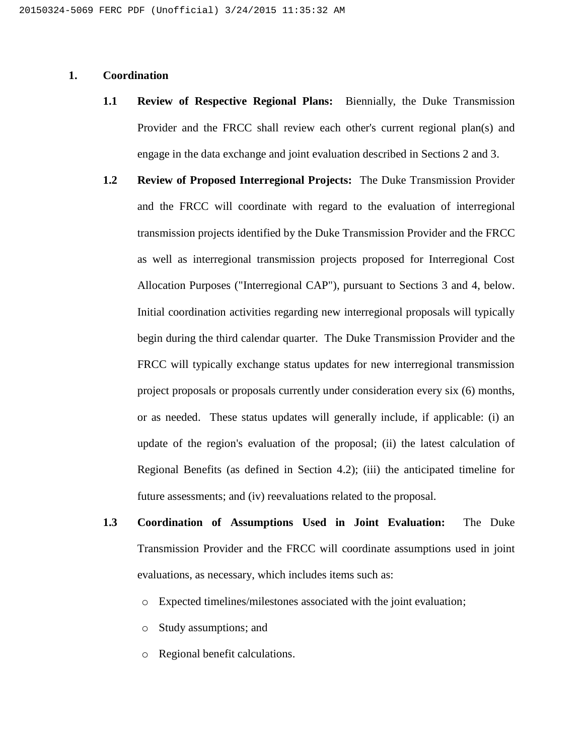## **1. Coordination**

- **1.1 Review of Respective Regional Plans:** Biennially, the Duke Transmission Provider and the FRCC shall review each other's current regional plan(s) and engage in the data exchange and joint evaluation described in Sections 2 and 3.
- **1.2 Review of Proposed Interregional Projects:** The Duke Transmission Provider and the FRCC will coordinate with regard to the evaluation of interregional transmission projects identified by the Duke Transmission Provider and the FRCC as well as interregional transmission projects proposed for Interregional Cost Allocation Purposes ("Interregional CAP"), pursuant to Sections 3 and 4, below. Initial coordination activities regarding new interregional proposals will typically begin during the third calendar quarter. The Duke Transmission Provider and the FRCC will typically exchange status updates for new interregional transmission project proposals or proposals currently under consideration every six (6) months, or as needed. These status updates will generally include, if applicable: (i) an update of the region's evaluation of the proposal; (ii) the latest calculation of Regional Benefits (as defined in Section 4.2); (iii) the anticipated timeline for future assessments; and (iv) reevaluations related to the proposal.
- **1.3 Coordination of Assumptions Used in Joint Evaluation:** The Duke Transmission Provider and the FRCC will coordinate assumptions used in joint evaluations, as necessary, which includes items such as:
	- o Expected timelines/milestones associated with the joint evaluation;
	- o Study assumptions; and
	- o Regional benefit calculations.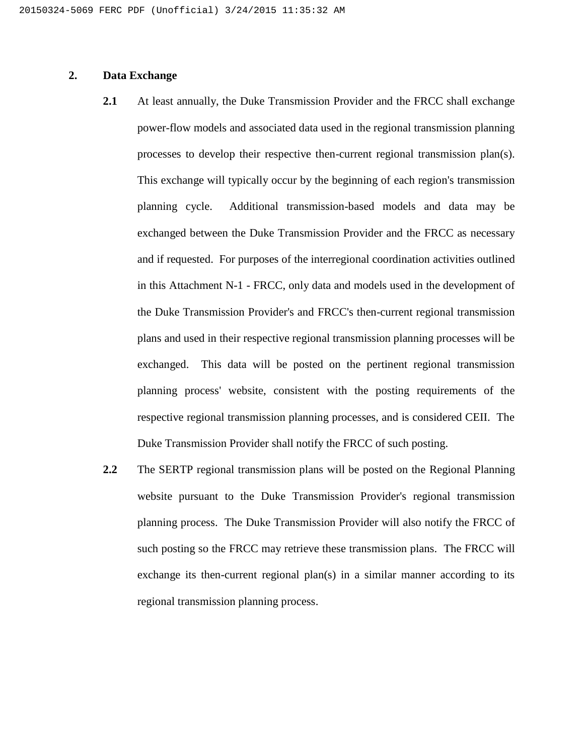## **2. Data Exchange**

- **2.1** At least annually, the Duke Transmission Provider and the FRCC shall exchange power-flow models and associated data used in the regional transmission planning processes to develop their respective then-current regional transmission plan(s). This exchange will typically occur by the beginning of each region's transmission planning cycle. Additional transmission-based models and data may be exchanged between the Duke Transmission Provider and the FRCC as necessary and if requested. For purposes of the interregional coordination activities outlined in this Attachment N-1 - FRCC, only data and models used in the development of the Duke Transmission Provider's and FRCC's then-current regional transmission plans and used in their respective regional transmission planning processes will be exchanged. This data will be posted on the pertinent regional transmission planning process' website, consistent with the posting requirements of the respective regional transmission planning processes, and is considered CEII. The Duke Transmission Provider shall notify the FRCC of such posting.
- **2.2** The SERTP regional transmission plans will be posted on the Regional Planning website pursuant to the Duke Transmission Provider's regional transmission planning process. The Duke Transmission Provider will also notify the FRCC of such posting so the FRCC may retrieve these transmission plans. The FRCC will exchange its then-current regional plan(s) in a similar manner according to its regional transmission planning process.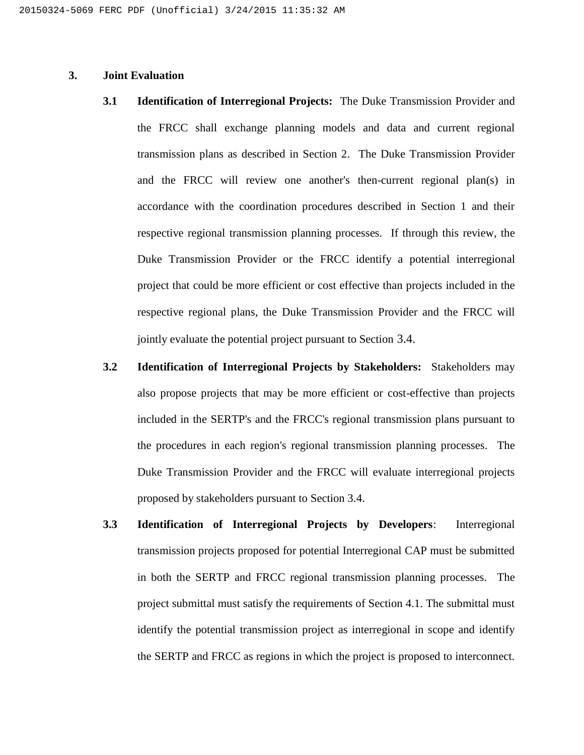## **3. Joint Evaluation**

- **3.1 Identification of Interregional Projects:** The Duke Transmission Provider and the FRCC shall exchange planning models and data and current regional transmission plans as described in Section 2. The Duke Transmission Provider and the FRCC will review one another's then-current regional plan(s) in accordance with the coordination procedures described in Section 1 and their respective regional transmission planning processes. If through this review, the Duke Transmission Provider or the FRCC identify a potential interregional project that could be more efficient or cost effective than projects included in the respective regional plans, the Duke Transmission Provider and the FRCC will jointly evaluate the potential project pursuant to Section 3.4.
- **3.2 Identification of Interregional Projects by Stakeholders:** Stakeholders may also propose projects that may be more efficient or cost-effective than projects included in the SERTP's and the FRCC's regional transmission plans pursuant to the procedures in each region's regional transmission planning processes. The Duke Transmission Provider and the FRCC will evaluate interregional projects proposed by stakeholders pursuant to Section 3.4.
- **3.3 Identification of Interregional Projects by Developers**: Interregional transmission projects proposed for potential Interregional CAP must be submitted in both the SERTP and FRCC regional transmission planning processes. The project submittal must satisfy the requirements of Section 4.1. The submittal must identify the potential transmission project as interregional in scope and identify the SERTP and FRCC as regions in which the project is proposed to interconnect.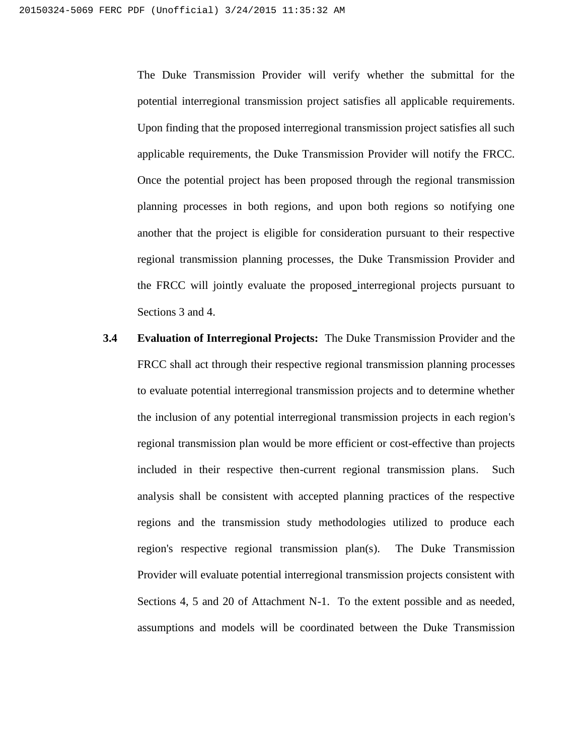The Duke Transmission Provider will verify whether the submittal for the potential interregional transmission project satisfies all applicable requirements. Upon finding that the proposed interregional transmission project satisfies all such applicable requirements, the Duke Transmission Provider will notify the FRCC. Once the potential project has been proposed through the regional transmission planning processes in both regions, and upon both regions so notifying one another that the project is eligible for consideration pursuant to their respective regional transmission planning processes, the Duke Transmission Provider and the FRCC will jointly evaluate the proposed interregional projects pursuant to Sections 3 and 4.

**3.4 Evaluation of Interregional Projects:** The Duke Transmission Provider and the FRCC shall act through their respective regional transmission planning processes to evaluate potential interregional transmission projects and to determine whether the inclusion of any potential interregional transmission projects in each region's regional transmission plan would be more efficient or cost-effective than projects included in their respective then-current regional transmission plans. Such analysis shall be consistent with accepted planning practices of the respective regions and the transmission study methodologies utilized to produce each region's respective regional transmission plan(s). The Duke Transmission Provider will evaluate potential interregional transmission projects consistent with Sections 4, 5 and 20 of Attachment N-1. To the extent possible and as needed, assumptions and models will be coordinated between the Duke Transmission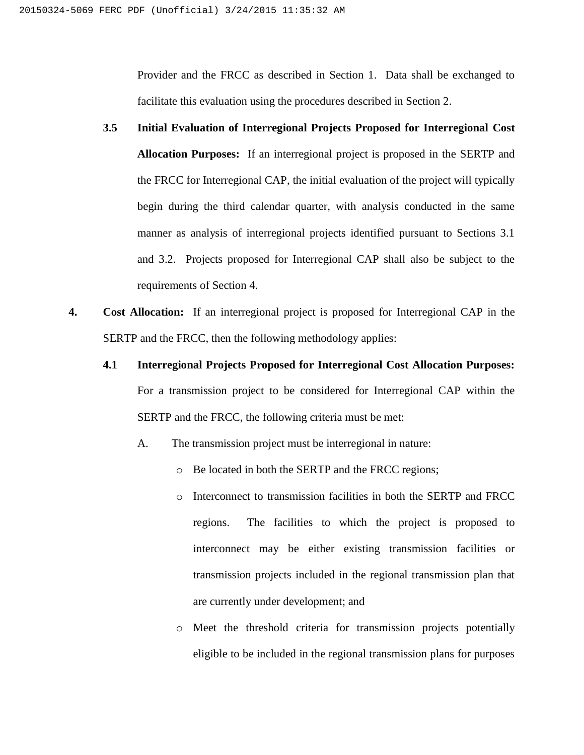Provider and the FRCC as described in Section 1. Data shall be exchanged to facilitate this evaluation using the procedures described in Section 2.

- **3.5 Initial Evaluation of Interregional Projects Proposed for Interregional Cost Allocation Purposes:** If an interregional project is proposed in the SERTP and the FRCC for Interregional CAP, the initial evaluation of the project will typically begin during the third calendar quarter, with analysis conducted in the same manner as analysis of interregional projects identified pursuant to Sections 3.1 and 3.2. Projects proposed for Interregional CAP shall also be subject to the requirements of Section 4.
- **4. Cost Allocation:** If an interregional project is proposed for Interregional CAP in the SERTP and the FRCC, then the following methodology applies:
	- **4.1 Interregional Projects Proposed for Interregional Cost Allocation Purposes:**

For a transmission project to be considered for Interregional CAP within the SERTP and the FRCC, the following criteria must be met:

- A. The transmission project must be interregional in nature:
	- o Be located in both the SERTP and the FRCC regions;
	- o Interconnect to transmission facilities in both the SERTP and FRCC regions. The facilities to which the project is proposed to interconnect may be either existing transmission facilities or transmission projects included in the regional transmission plan that are currently under development; and
	- o Meet the threshold criteria for transmission projects potentially eligible to be included in the regional transmission plans for purposes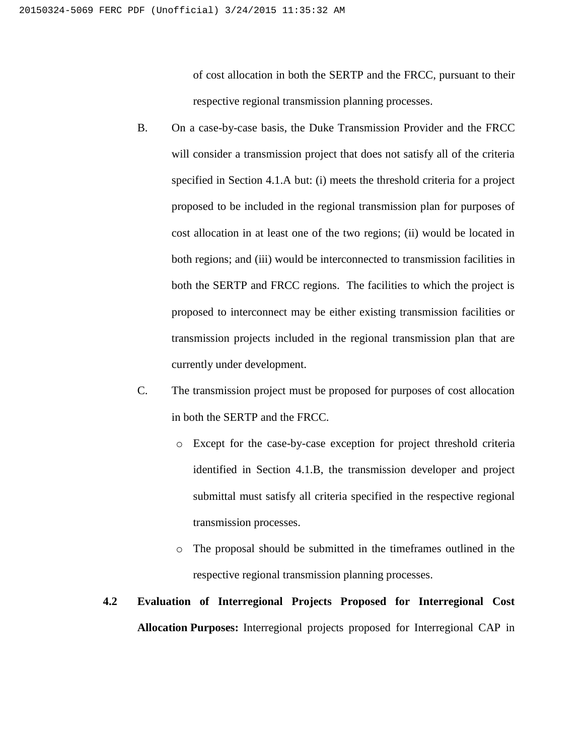of cost allocation in both the SERTP and the FRCC, pursuant to their respective regional transmission planning processes.

- B. On a case-by-case basis, the Duke Transmission Provider and the FRCC will consider a transmission project that does not satisfy all of the criteria specified in Section 4.1.A but: (i) meets the threshold criteria for a project proposed to be included in the regional transmission plan for purposes of cost allocation in at least one of the two regions; (ii) would be located in both regions; and (iii) would be interconnected to transmission facilities in both the SERTP and FRCC regions. The facilities to which the project is proposed to interconnect may be either existing transmission facilities or transmission projects included in the regional transmission plan that are currently under development.
- C. The transmission project must be proposed for purposes of cost allocation in both the SERTP and the FRCC.
	- o Except for the case-by-case exception for project threshold criteria identified in Section 4.1.B, the transmission developer and project submittal must satisfy all criteria specified in the respective regional transmission processes.
	- o The proposal should be submitted in the timeframes outlined in the respective regional transmission planning processes.

## **4.2 Evaluation of Interregional Projects Proposed for Interregional Cost Allocation Purposes:** Interregional projects proposed for Interregional CAP in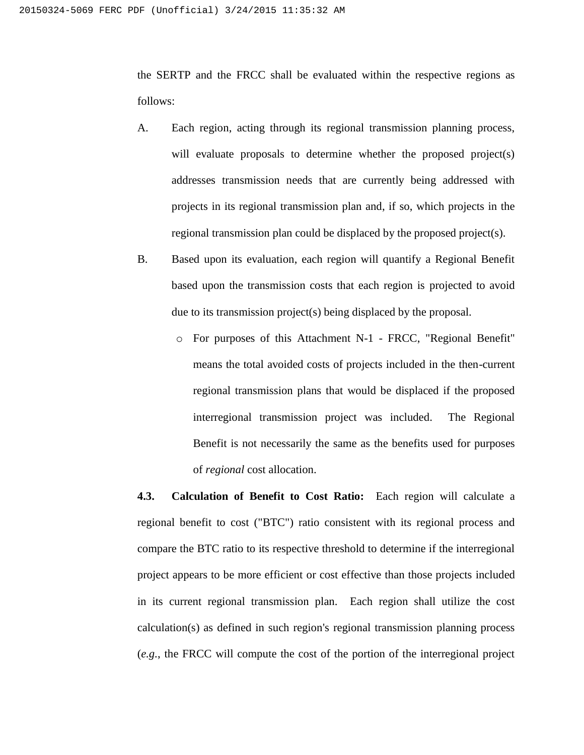the SERTP and the FRCC shall be evaluated within the respective regions as follows:

- A. Each region, acting through its regional transmission planning process, will evaluate proposals to determine whether the proposed project(s) addresses transmission needs that are currently being addressed with projects in its regional transmission plan and, if so, which projects in the regional transmission plan could be displaced by the proposed project(s).
- B. Based upon its evaluation, each region will quantify a Regional Benefit based upon the transmission costs that each region is projected to avoid due to its transmission project(s) being displaced by the proposal.
	- o For purposes of this Attachment N-1 FRCC, "Regional Benefit" means the total avoided costs of projects included in the then-current regional transmission plans that would be displaced if the proposed interregional transmission project was included. The Regional Benefit is not necessarily the same as the benefits used for purposes of *regional* cost allocation.

**4.3. Calculation of Benefit to Cost Ratio:** Each region will calculate a regional benefit to cost ("BTC") ratio consistent with its regional process and compare the BTC ratio to its respective threshold to determine if the interregional project appears to be more efficient or cost effective than those projects included in its current regional transmission plan. Each region shall utilize the cost calculation(s) as defined in such region's regional transmission planning process (*e.g.*, the FRCC will compute the cost of the portion of the interregional project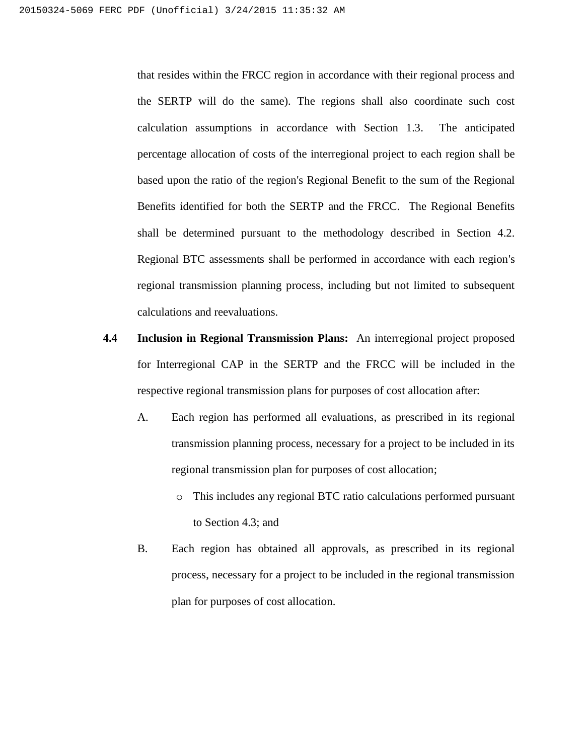that resides within the FRCC region in accordance with their regional process and the SERTP will do the same). The regions shall also coordinate such cost calculation assumptions in accordance with Section 1.3. The anticipated percentage allocation of costs of the interregional project to each region shall be based upon the ratio of the region's Regional Benefit to the sum of the Regional Benefits identified for both the SERTP and the FRCC. The Regional Benefits shall be determined pursuant to the methodology described in Section 4.2. Regional BTC assessments shall be performed in accordance with each region's regional transmission planning process, including but not limited to subsequent calculations and reevaluations.

- **4.4 Inclusion in Regional Transmission Plans:** An interregional project proposed for Interregional CAP in the SERTP and the FRCC will be included in the respective regional transmission plans for purposes of cost allocation after:
	- A. Each region has performed all evaluations, as prescribed in its regional transmission planning process, necessary for a project to be included in its regional transmission plan for purposes of cost allocation;
		- o This includes any regional BTC ratio calculations performed pursuant to Section 4.3; and
	- B. Each region has obtained all approvals, as prescribed in its regional process, necessary for a project to be included in the regional transmission plan for purposes of cost allocation.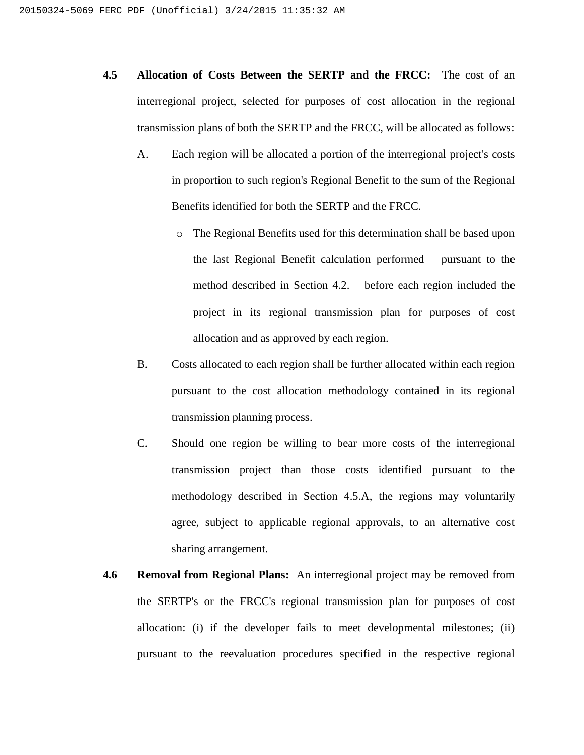- **4.5 Allocation of Costs Between the SERTP and the FRCC:** The cost of an interregional project, selected for purposes of cost allocation in the regional transmission plans of both the SERTP and the FRCC, will be allocated as follows:
	- A. Each region will be allocated a portion of the interregional project's costs in proportion to such region's Regional Benefit to the sum of the Regional Benefits identified for both the SERTP and the FRCC.
		- o The Regional Benefits used for this determination shall be based upon the last Regional Benefit calculation performed – pursuant to the method described in Section 4.2. – before each region included the project in its regional transmission plan for purposes of cost allocation and as approved by each region.
	- B. Costs allocated to each region shall be further allocated within each region pursuant to the cost allocation methodology contained in its regional transmission planning process.
	- C. Should one region be willing to bear more costs of the interregional transmission project than those costs identified pursuant to the methodology described in Section 4.5.A, the regions may voluntarily agree, subject to applicable regional approvals, to an alternative cost sharing arrangement.
- **4.6 Removal from Regional Plans:** An interregional project may be removed from the SERTP's or the FRCC's regional transmission plan for purposes of cost allocation: (i) if the developer fails to meet developmental milestones; (ii) pursuant to the reevaluation procedures specified in the respective regional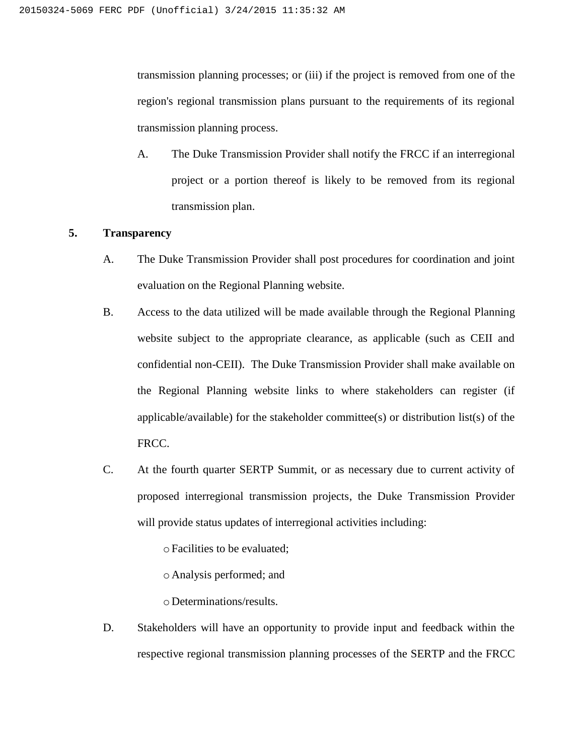transmission planning processes; or (iii) if the project is removed from one of the region's regional transmission plans pursuant to the requirements of its regional transmission planning process.

A. The Duke Transmission Provider shall notify the FRCC if an interregional project or a portion thereof is likely to be removed from its regional transmission plan.

## **5. Transparency**

- A. The Duke Transmission Provider shall post procedures for coordination and joint evaluation on the Regional Planning website.
- B. Access to the data utilized will be made available through the Regional Planning website subject to the appropriate clearance, as applicable (such as CEII and confidential non-CEII). The Duke Transmission Provider shall make available on the Regional Planning website links to where stakeholders can register (if applicable/available) for the stakeholder committee(s) or distribution list(s) of the FRCC.
- C. At the fourth quarter SERTP Summit, or as necessary due to current activity of proposed interregional transmission projects, the Duke Transmission Provider will provide status updates of interregional activities including:

oFacilities to be evaluated;

o Analysis performed; and

o Determinations/results.

D. Stakeholders will have an opportunity to provide input and feedback within the respective regional transmission planning processes of the SERTP and the FRCC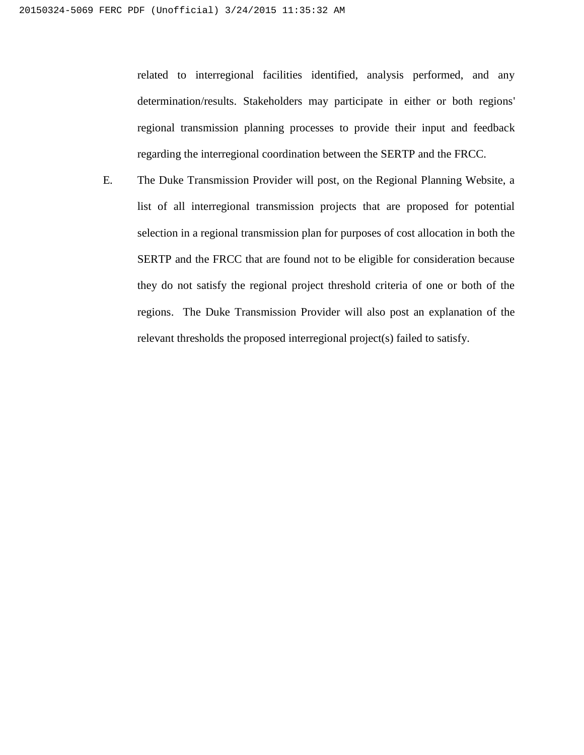related to interregional facilities identified, analysis performed, and any determination/results. Stakeholders may participate in either or both regions' regional transmission planning processes to provide their input and feedback regarding the interregional coordination between the SERTP and the FRCC.

E. The Duke Transmission Provider will post, on the Regional Planning Website, a list of all interregional transmission projects that are proposed for potential selection in a regional transmission plan for purposes of cost allocation in both the SERTP and the FRCC that are found not to be eligible for consideration because they do not satisfy the regional project threshold criteria of one or both of the regions. The Duke Transmission Provider will also post an explanation of the relevant thresholds the proposed interregional project(s) failed to satisfy.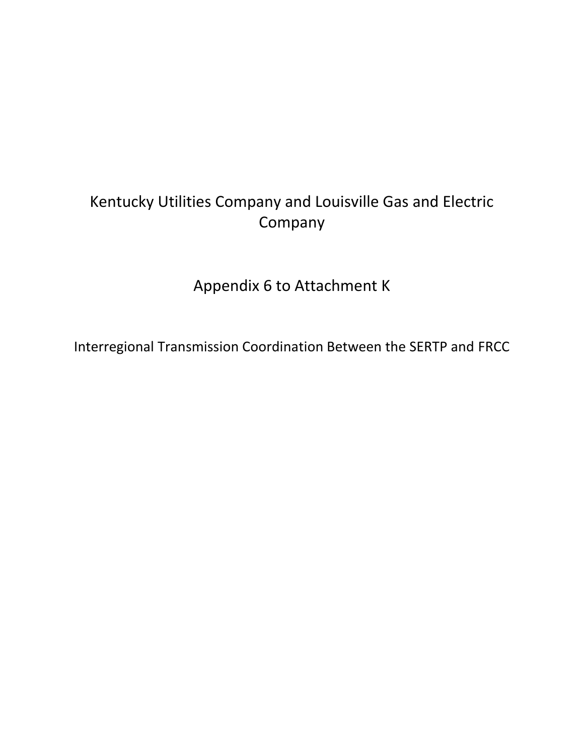# Kentucky Utilities Company and Louisville Gas and Electric Company

Appendix 6 to Attachment K

Interregional Transmission Coordination Between the SERTP and FRCC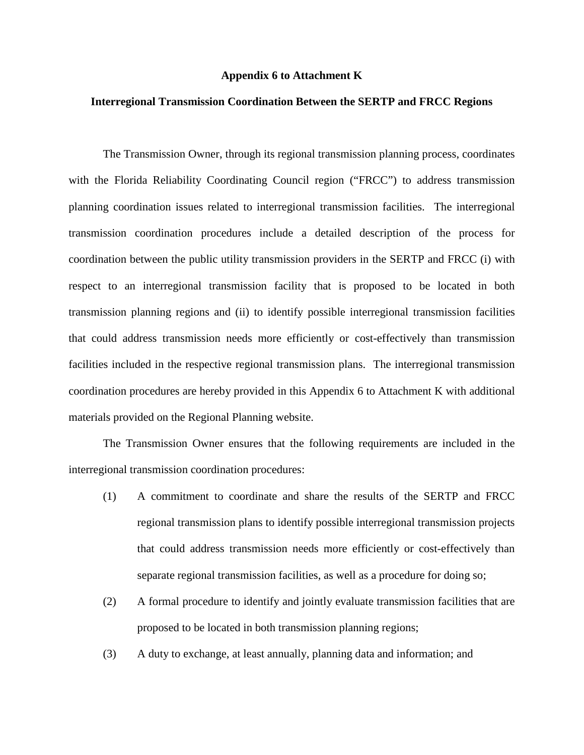#### **Appendix 6 to Attachment K**

## **Interregional Transmission Coordination Between the SERTP and FRCC Regions**

The Transmission Owner, through its regional transmission planning process, coordinates with the Florida Reliability Coordinating Council region ("FRCC") to address transmission planning coordination issues related to interregional transmission facilities. The interregional transmission coordination procedures include a detailed description of the process for coordination between the public utility transmission providers in the SERTP and FRCC (i) with respect to an interregional transmission facility that is proposed to be located in both transmission planning regions and (ii) to identify possible interregional transmission facilities that could address transmission needs more efficiently or cost-effectively than transmission facilities included in the respective regional transmission plans. The interregional transmission coordination procedures are hereby provided in this Appendix 6 to Attachment K with additional materials provided on the Regional Planning website.

The Transmission Owner ensures that the following requirements are included in the interregional transmission coordination procedures:

- (1) A commitment to coordinate and share the results of the SERTP and FRCC regional transmission plans to identify possible interregional transmission projects that could address transmission needs more efficiently or cost-effectively than separate regional transmission facilities, as well as a procedure for doing so;
- (2) A formal procedure to identify and jointly evaluate transmission facilities that are proposed to be located in both transmission planning regions;
- (3) A duty to exchange, at least annually, planning data and information; and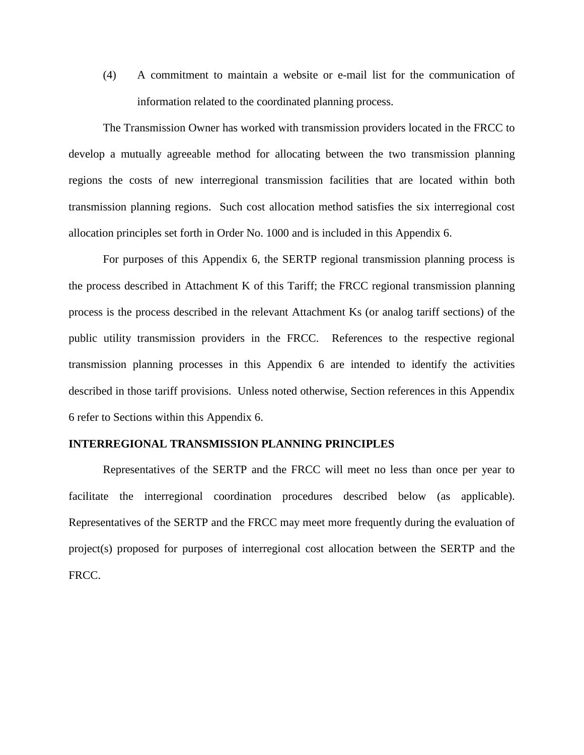(4) A commitment to maintain a website or e-mail list for the communication of information related to the coordinated planning process.

The Transmission Owner has worked with transmission providers located in the FRCC to develop a mutually agreeable method for allocating between the two transmission planning regions the costs of new interregional transmission facilities that are located within both transmission planning regions. Such cost allocation method satisfies the six interregional cost allocation principles set forth in Order No. 1000 and is included in this Appendix 6.

For purposes of this Appendix 6, the SERTP regional transmission planning process is the process described in Attachment K of this Tariff; the FRCC regional transmission planning process is the process described in the relevant Attachment Ks (or analog tariff sections) of the public utility transmission providers in the FRCC. References to the respective regional transmission planning processes in this Appendix 6 are intended to identify the activities described in those tariff provisions. Unless noted otherwise, Section references in this Appendix 6 refer to Sections within this Appendix 6.

### **INTERREGIONAL TRANSMISSION PLANNING PRINCIPLES**

Representatives of the SERTP and the FRCC will meet no less than once per year to facilitate the interregional coordination procedures described below (as applicable). Representatives of the SERTP and the FRCC may meet more frequently during the evaluation of project(s) proposed for purposes of interregional cost allocation between the SERTP and the FRCC.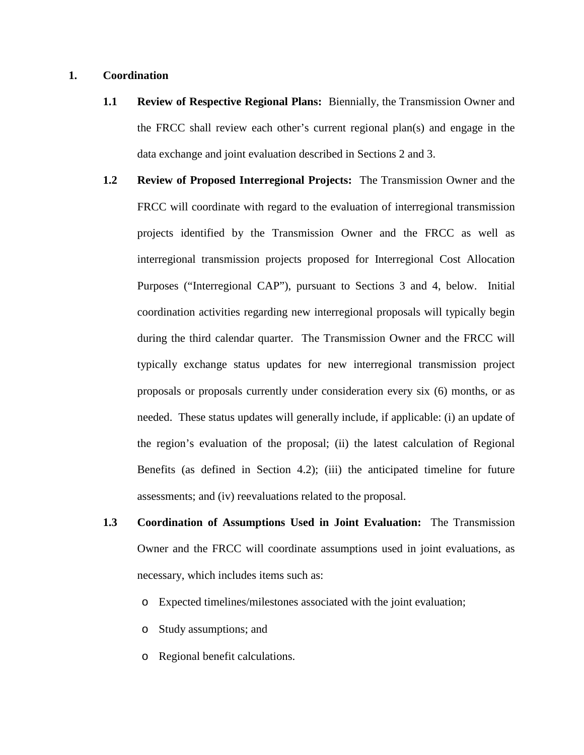## **1. Coordination**

- **1.1 Review of Respective Regional Plans:** Biennially, the Transmission Owner and the FRCC shall review each other's current regional plan(s) and engage in the data exchange and joint evaluation described in Sections 2 and 3.
- **1.2 Review of Proposed Interregional Projects:** The Transmission Owner and the FRCC will coordinate with regard to the evaluation of interregional transmission projects identified by the Transmission Owner and the FRCC as well as interregional transmission projects proposed for Interregional Cost Allocation Purposes ("Interregional CAP"), pursuant to Sections 3 and 4, below. Initial coordination activities regarding new interregional proposals will typically begin during the third calendar quarter. The Transmission Owner and the FRCC will typically exchange status updates for new interregional transmission project proposals or proposals currently under consideration every six (6) months, or as needed. These status updates will generally include, if applicable: (i) an update of the region's evaluation of the proposal; (ii) the latest calculation of Regional Benefits (as defined in Section 4.2); (iii) the anticipated timeline for future assessments; and (iv) reevaluations related to the proposal.
- **1.3 Coordination of Assumptions Used in Joint Evaluation:** The Transmission Owner and the FRCC will coordinate assumptions used in joint evaluations, as necessary, which includes items such as:
	- o Expected timelines/milestones associated with the joint evaluation;
	- o Study assumptions; and
	- o Regional benefit calculations.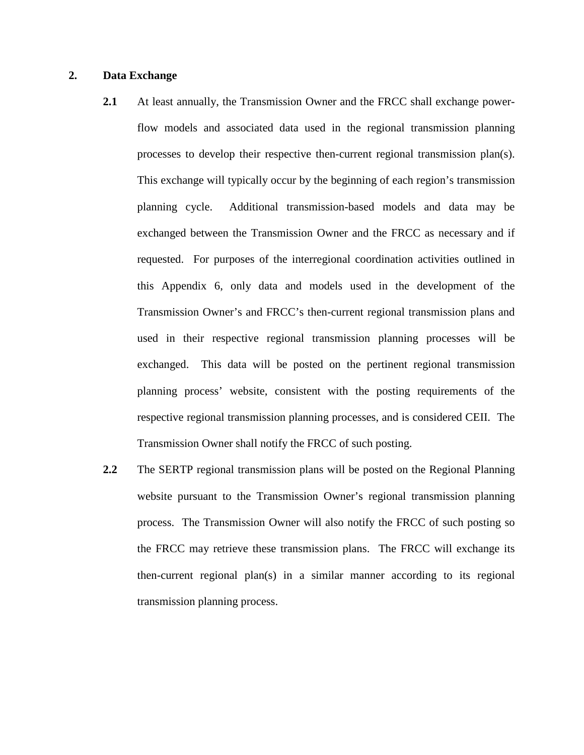## **2. Data Exchange**

- **2.1** At least annually, the Transmission Owner and the FRCC shall exchange powerflow models and associated data used in the regional transmission planning processes to develop their respective then-current regional transmission plan(s). This exchange will typically occur by the beginning of each region's transmission planning cycle. Additional transmission-based models and data may be exchanged between the Transmission Owner and the FRCC as necessary and if requested. For purposes of the interregional coordination activities outlined in this Appendix 6, only data and models used in the development of the Transmission Owner's and FRCC's then-current regional transmission plans and used in their respective regional transmission planning processes will be exchanged. This data will be posted on the pertinent regional transmission planning process' website, consistent with the posting requirements of the respective regional transmission planning processes, and is considered CEII. The Transmission Owner shall notify the FRCC of such posting.
- **2.2** The SERTP regional transmission plans will be posted on the Regional Planning website pursuant to the Transmission Owner's regional transmission planning process. The Transmission Owner will also notify the FRCC of such posting so the FRCC may retrieve these transmission plans. The FRCC will exchange its then-current regional plan(s) in a similar manner according to its regional transmission planning process.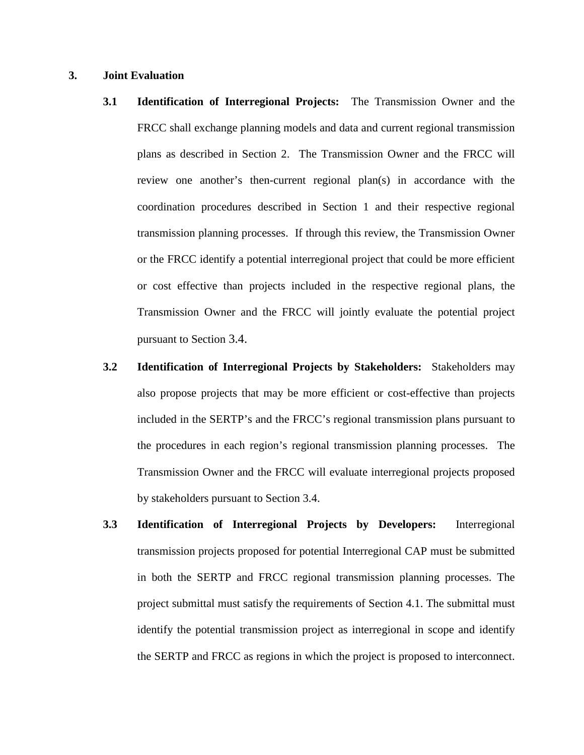## **3. Joint Evaluation**

- **3.1 Identification of Interregional Projects:** The Transmission Owner and the FRCC shall exchange planning models and data and current regional transmission plans as described in Section 2. The Transmission Owner and the FRCC will review one another's then-current regional plan(s) in accordance with the coordination procedures described in Section 1 and their respective regional transmission planning processes. If through this review, the Transmission Owner or the FRCC identify a potential interregional project that could be more efficient or cost effective than projects included in the respective regional plans, the Transmission Owner and the FRCC will jointly evaluate the potential project pursuant to Section 3.4.
- **3.2 Identification of Interregional Projects by Stakeholders:** Stakeholders may also propose projects that may be more efficient or cost-effective than projects included in the SERTP's and the FRCC's regional transmission plans pursuant to the procedures in each region's regional transmission planning processes. The Transmission Owner and the FRCC will evaluate interregional projects proposed by stakeholders pursuant to Section 3.4.
- **3.3 Identification of Interregional Projects by Developers:** Interregional transmission projects proposed for potential Interregional CAP must be submitted in both the SERTP and FRCC regional transmission planning processes. The project submittal must satisfy the requirements of Section 4.1. The submittal must identify the potential transmission project as interregional in scope and identify the SERTP and FRCC as regions in which the project is proposed to interconnect.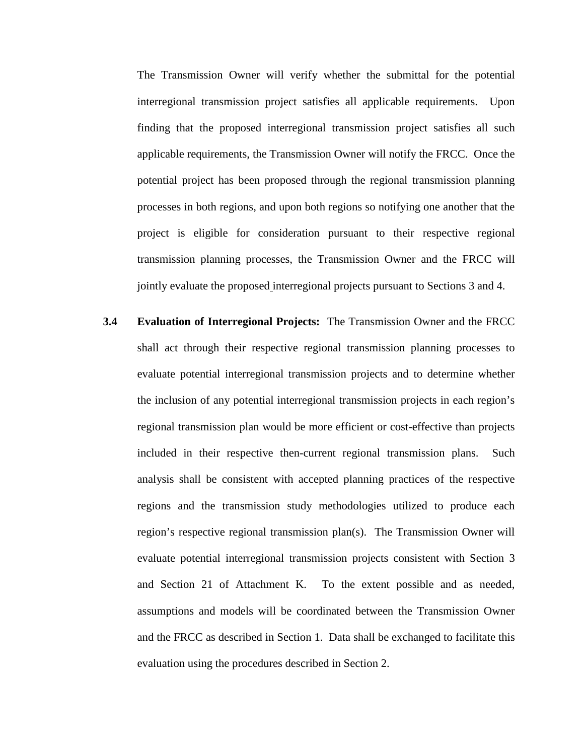The Transmission Owner will verify whether the submittal for the potential interregional transmission project satisfies all applicable requirements. Upon finding that the proposed interregional transmission project satisfies all such applicable requirements, the Transmission Owner will notify the FRCC. Once the potential project has been proposed through the regional transmission planning processes in both regions, and upon both regions so notifying one another that the project is eligible for consideration pursuant to their respective regional transmission planning processes, the Transmission Owner and the FRCC will jointly evaluate the proposed interregional projects pursuant to Sections 3 and 4.

**3.4 Evaluation of Interregional Projects:** The Transmission Owner and the FRCC shall act through their respective regional transmission planning processes to evaluate potential interregional transmission projects and to determine whether the inclusion of any potential interregional transmission projects in each region's regional transmission plan would be more efficient or cost-effective than projects included in their respective then-current regional transmission plans. Such analysis shall be consistent with accepted planning practices of the respective regions and the transmission study methodologies utilized to produce each region's respective regional transmission plan(s). The Transmission Owner will evaluate potential interregional transmission projects consistent with Section 3 and Section 21 of Attachment K. To the extent possible and as needed, assumptions and models will be coordinated between the Transmission Owner and the FRCC as described in Section 1. Data shall be exchanged to facilitate this evaluation using the procedures described in Section 2.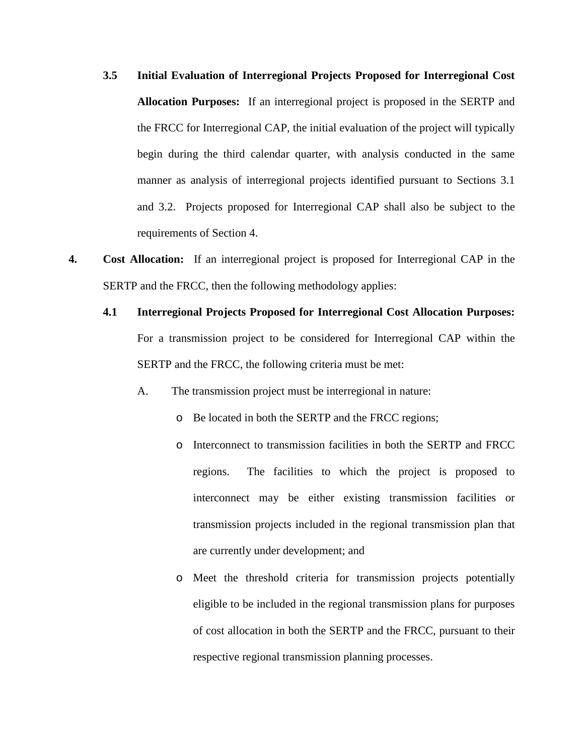- **3.5 Initial Evaluation of Interregional Projects Proposed for Interregional Cost Allocation Purposes:** If an interregional project is proposed in the SERTP and the FRCC for Interregional CAP, the initial evaluation of the project will typically begin during the third calendar quarter, with analysis conducted in the same manner as analysis of interregional projects identified pursuant to Sections 3.1 and 3.2. Projects proposed for Interregional CAP shall also be subject to the requirements of Section 4.
- **4. Cost Allocation:** If an interregional project is proposed for Interregional CAP in the SERTP and the FRCC, then the following methodology applies:
	- **4.1 Interregional Projects Proposed for Interregional Cost Allocation Purposes:** For a transmission project to be considered for Interregional CAP within the SERTP and the FRCC, the following criteria must be met:
		- A. The transmission project must be interregional in nature:
			- o Be located in both the SERTP and the FRCC regions;
			- o Interconnect to transmission facilities in both the SERTP and FRCC regions. The facilities to which the project is proposed to interconnect may be either existing transmission facilities or transmission projects included in the regional transmission plan that are currently under development; and
			- o Meet the threshold criteria for transmission projects potentially eligible to be included in the regional transmission plans for purposes of cost allocation in both the SERTP and the FRCC, pursuant to their respective regional transmission planning processes.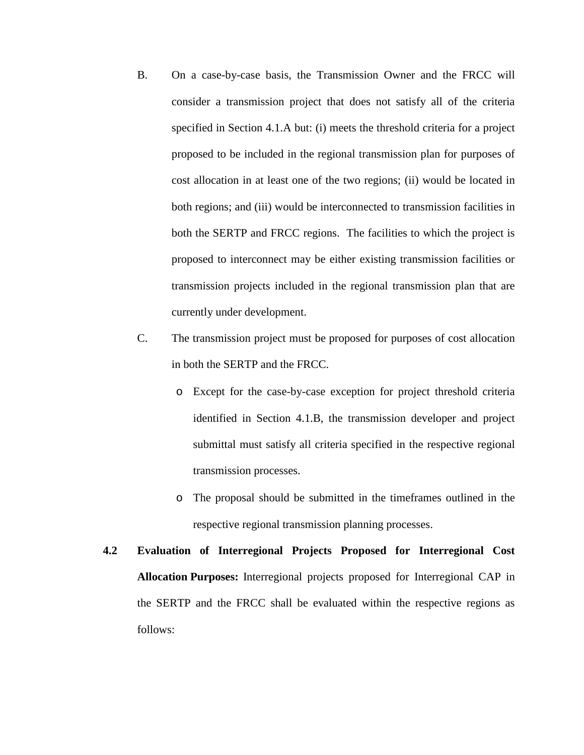- B. On a case-by-case basis, the Transmission Owner and the FRCC will consider a transmission project that does not satisfy all of the criteria specified in Section 4.1.A but: (i) meets the threshold criteria for a project proposed to be included in the regional transmission plan for purposes of cost allocation in at least one of the two regions; (ii) would be located in both regions; and (iii) would be interconnected to transmission facilities in both the SERTP and FRCC regions. The facilities to which the project is proposed to interconnect may be either existing transmission facilities or transmission projects included in the regional transmission plan that are currently under development.
- C. The transmission project must be proposed for purposes of cost allocation in both the SERTP and the FRCC.
	- o Except for the case-by-case exception for project threshold criteria identified in Section 4.1.B, the transmission developer and project submittal must satisfy all criteria specified in the respective regional transmission processes.
	- o The proposal should be submitted in the timeframes outlined in the respective regional transmission planning processes.
- **4.2 Evaluation of Interregional Projects Proposed for Interregional Cost Allocation Purposes:** Interregional projects proposed for Interregional CAP in the SERTP and the FRCC shall be evaluated within the respective regions as follows: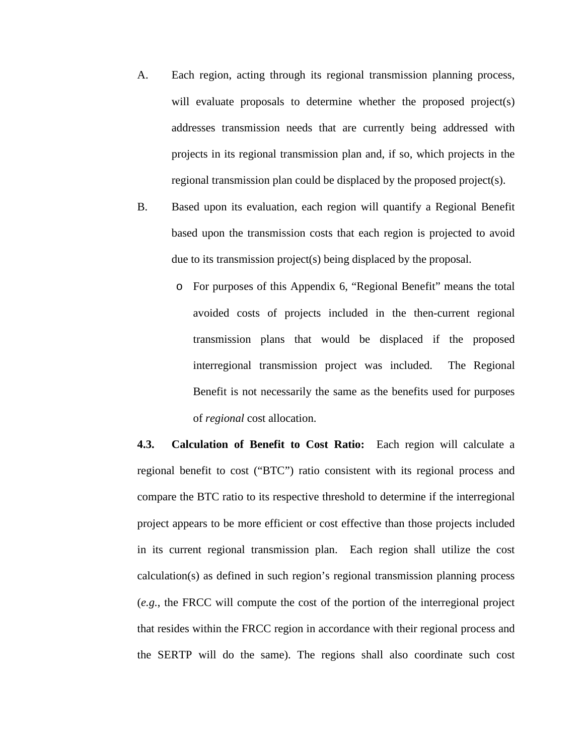- A. Each region, acting through its regional transmission planning process, will evaluate proposals to determine whether the proposed project(s) addresses transmission needs that are currently being addressed with projects in its regional transmission plan and, if so, which projects in the regional transmission plan could be displaced by the proposed project(s).
- B. Based upon its evaluation, each region will quantify a Regional Benefit based upon the transmission costs that each region is projected to avoid due to its transmission project(s) being displaced by the proposal.
	- o For purposes of this Appendix 6, "Regional Benefit" means the total avoided costs of projects included in the then-current regional transmission plans that would be displaced if the proposed interregional transmission project was included. The Regional Benefit is not necessarily the same as the benefits used for purposes of *regional* cost allocation.

**4.3. Calculation of Benefit to Cost Ratio:** Each region will calculate a regional benefit to cost ("BTC") ratio consistent with its regional process and compare the BTC ratio to its respective threshold to determine if the interregional project appears to be more efficient or cost effective than those projects included in its current regional transmission plan. Each region shall utilize the cost calculation(s) as defined in such region's regional transmission planning process (*e.g.*, the FRCC will compute the cost of the portion of the interregional project that resides within the FRCC region in accordance with their regional process and the SERTP will do the same). The regions shall also coordinate such cost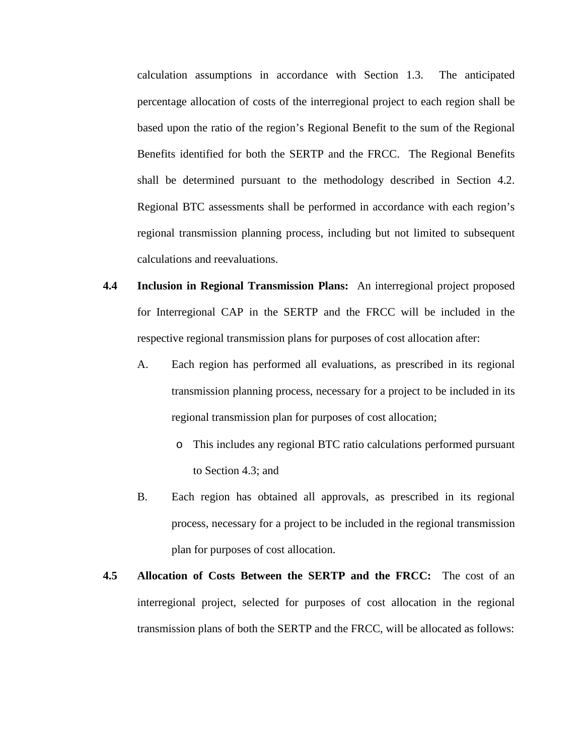calculation assumptions in accordance with Section 1.3. The anticipated percentage allocation of costs of the interregional project to each region shall be based upon the ratio of the region's Regional Benefit to the sum of the Regional Benefits identified for both the SERTP and the FRCC. The Regional Benefits shall be determined pursuant to the methodology described in Section 4.2. Regional BTC assessments shall be performed in accordance with each region's regional transmission planning process, including but not limited to subsequent calculations and reevaluations.

- **4.4 Inclusion in Regional Transmission Plans:** An interregional project proposed for Interregional CAP in the SERTP and the FRCC will be included in the respective regional transmission plans for purposes of cost allocation after:
	- A. Each region has performed all evaluations, as prescribed in its regional transmission planning process, necessary for a project to be included in its regional transmission plan for purposes of cost allocation;
		- o This includes any regional BTC ratio calculations performed pursuant to Section 4.3; and
	- B. Each region has obtained all approvals, as prescribed in its regional process, necessary for a project to be included in the regional transmission plan for purposes of cost allocation.
- **4.5 Allocation of Costs Between the SERTP and the FRCC:** The cost of an interregional project, selected for purposes of cost allocation in the regional transmission plans of both the SERTP and the FRCC, will be allocated as follows: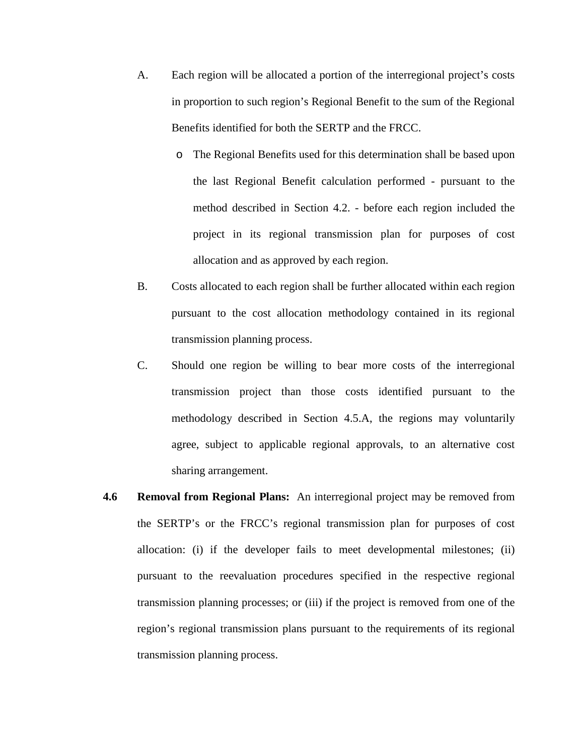- A. Each region will be allocated a portion of the interregional project's costs in proportion to such region's Regional Benefit to the sum of the Regional Benefits identified for both the SERTP and the FRCC.
	- o The Regional Benefits used for this determination shall be based upon the last Regional Benefit calculation performed - pursuant to the method described in Section 4.2. - before each region included the project in its regional transmission plan for purposes of cost allocation and as approved by each region.
- B. Costs allocated to each region shall be further allocated within each region pursuant to the cost allocation methodology contained in its regional transmission planning process.
- C. Should one region be willing to bear more costs of the interregional transmission project than those costs identified pursuant to the methodology described in Section 4.5.A, the regions may voluntarily agree, subject to applicable regional approvals, to an alternative cost sharing arrangement.
- **4.6 Removal from Regional Plans:** An interregional project may be removed from the SERTP's or the FRCC's regional transmission plan for purposes of cost allocation: (i) if the developer fails to meet developmental milestones; (ii) pursuant to the reevaluation procedures specified in the respective regional transmission planning processes; or (iii) if the project is removed from one of the region's regional transmission plans pursuant to the requirements of its regional transmission planning process.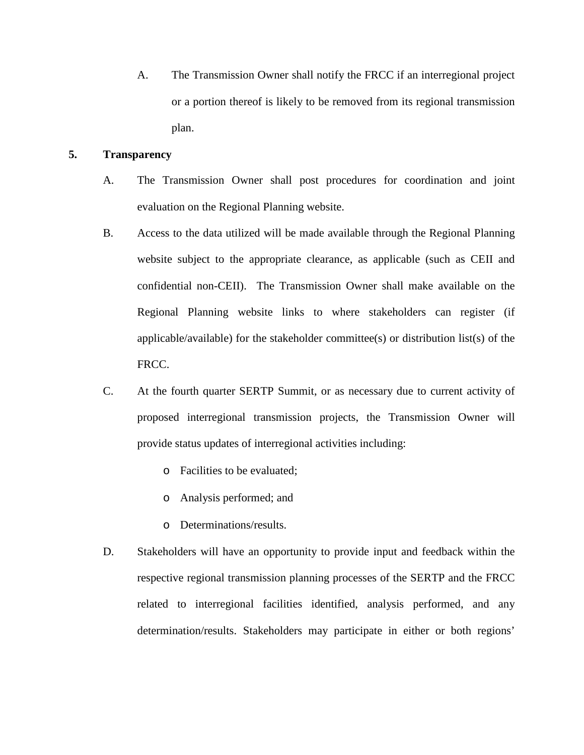A. The Transmission Owner shall notify the FRCC if an interregional project or a portion thereof is likely to be removed from its regional transmission plan.

## **5. Transparency**

- A. The Transmission Owner shall post procedures for coordination and joint evaluation on the Regional Planning website.
- B. Access to the data utilized will be made available through the Regional Planning website subject to the appropriate clearance, as applicable (such as CEII and confidential non-CEII). The Transmission Owner shall make available on the Regional Planning website links to where stakeholders can register (if applicable/available) for the stakeholder committee(s) or distribution list(s) of the FRCC.
- C. At the fourth quarter SERTP Summit, or as necessary due to current activity of proposed interregional transmission projects, the Transmission Owner will provide status updates of interregional activities including:
	- o Facilities to be evaluated;
	- o Analysis performed; and
	- o Determinations/results.
- D. Stakeholders will have an opportunity to provide input and feedback within the respective regional transmission planning processes of the SERTP and the FRCC related to interregional facilities identified, analysis performed, and any determination/results. Stakeholders may participate in either or both regions'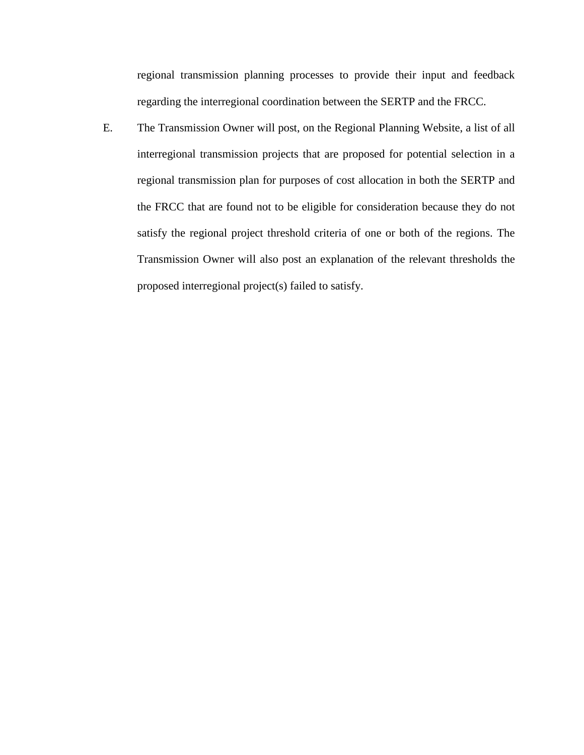regional transmission planning processes to provide their input and feedback regarding the interregional coordination between the SERTP and the FRCC.

E. The Transmission Owner will post, on the Regional Planning Website, a list of all interregional transmission projects that are proposed for potential selection in a regional transmission plan for purposes of cost allocation in both the SERTP and the FRCC that are found not to be eligible for consideration because they do not satisfy the regional project threshold criteria of one or both of the regions. The Transmission Owner will also post an explanation of the relevant thresholds the proposed interregional project(s) failed to satisfy.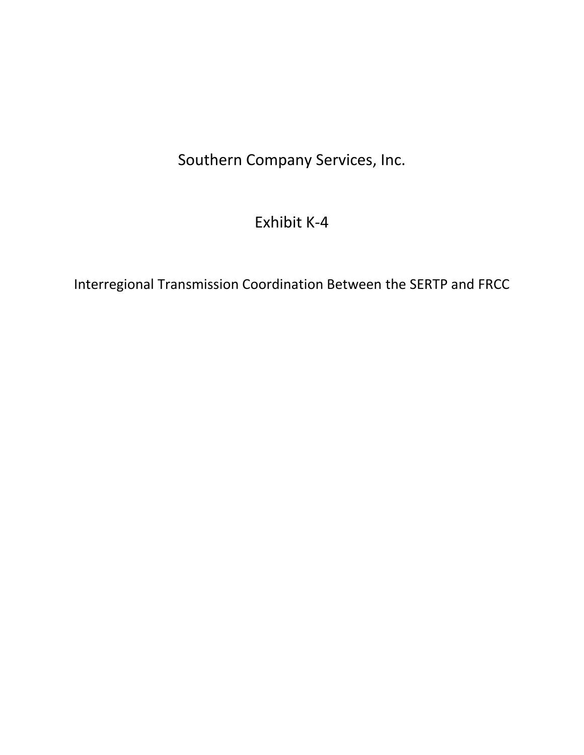# Southern Company Services, Inc.

# Exhibit K-4

Interregional Transmission Coordination Between the SERTP and FRCC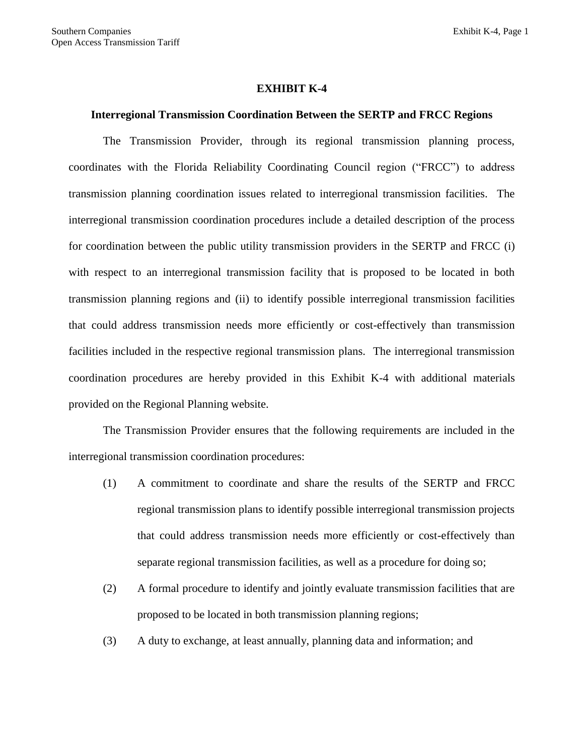### **EXHIBIT K-4**

#### **Interregional Transmission Coordination Between the SERTP and FRCC Regions**

The Transmission Provider, through its regional transmission planning process, coordinates with the Florida Reliability Coordinating Council region ("FRCC") to address transmission planning coordination issues related to interregional transmission facilities. The interregional transmission coordination procedures include a detailed description of the process for coordination between the public utility transmission providers in the SERTP and FRCC (i) with respect to an interregional transmission facility that is proposed to be located in both transmission planning regions and (ii) to identify possible interregional transmission facilities that could address transmission needs more efficiently or cost-effectively than transmission facilities included in the respective regional transmission plans. The interregional transmission coordination procedures are hereby provided in this Exhibit K-4 with additional materials provided on the Regional Planning website.

The Transmission Provider ensures that the following requirements are included in the interregional transmission coordination procedures:

- (1) A commitment to coordinate and share the results of the SERTP and FRCC regional transmission plans to identify possible interregional transmission projects that could address transmission needs more efficiently or cost-effectively than separate regional transmission facilities, as well as a procedure for doing so;
- (2) A formal procedure to identify and jointly evaluate transmission facilities that are proposed to be located in both transmission planning regions;
- (3) A duty to exchange, at least annually, planning data and information; and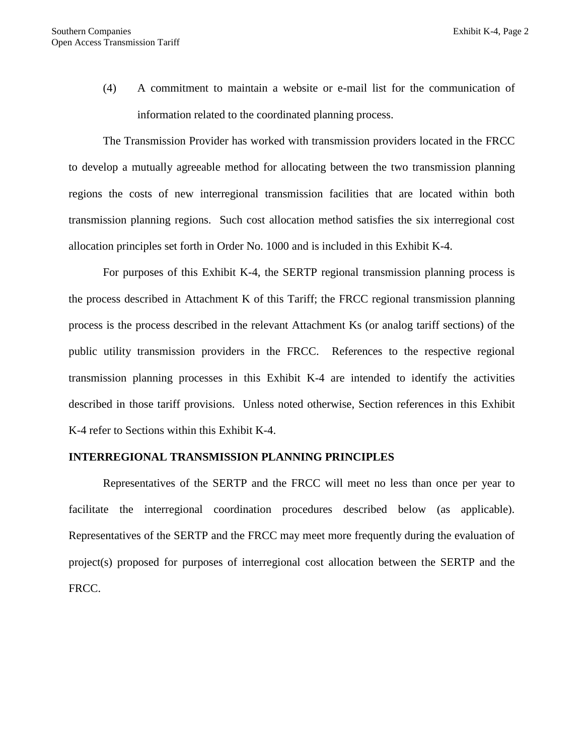(4) A commitment to maintain a website or e-mail list for the communication of information related to the coordinated planning process.

The Transmission Provider has worked with transmission providers located in the FRCC to develop a mutually agreeable method for allocating between the two transmission planning regions the costs of new interregional transmission facilities that are located within both transmission planning regions. Such cost allocation method satisfies the six interregional cost allocation principles set forth in Order No. 1000 and is included in this Exhibit K-4.

For purposes of this Exhibit K-4, the SERTP regional transmission planning process is the process described in Attachment K of this Tariff; the FRCC regional transmission planning process is the process described in the relevant Attachment Ks (or analog tariff sections) of the public utility transmission providers in the FRCC. References to the respective regional transmission planning processes in this Exhibit K-4 are intended to identify the activities described in those tariff provisions. Unless noted otherwise, Section references in this Exhibit K-4 refer to Sections within this Exhibit K-4.

## **INTERREGIONAL TRANSMISSION PLANNING PRINCIPLES**

Representatives of the SERTP and the FRCC will meet no less than once per year to facilitate the interregional coordination procedures described below (as applicable). Representatives of the SERTP and the FRCC may meet more frequently during the evaluation of project(s) proposed for purposes of interregional cost allocation between the SERTP and the FRCC.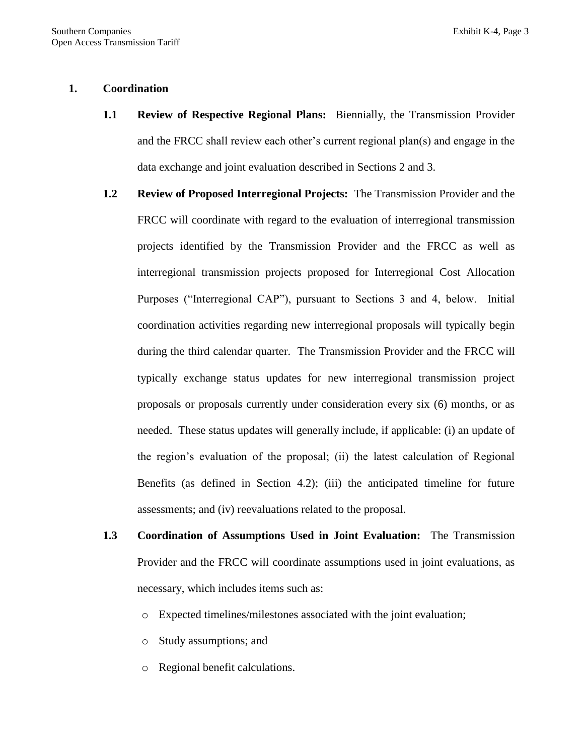## **1. Coordination**

- **1.1 Review of Respective Regional Plans:** Biennially, the Transmission Provider and the FRCC shall review each other's current regional plan(s) and engage in the data exchange and joint evaluation described in Sections 2 and 3.
- **1.2 Review of Proposed Interregional Projects:** The Transmission Provider and the FRCC will coordinate with regard to the evaluation of interregional transmission projects identified by the Transmission Provider and the FRCC as well as interregional transmission projects proposed for Interregional Cost Allocation Purposes ("Interregional CAP"), pursuant to Sections 3 and 4, below. Initial coordination activities regarding new interregional proposals will typically begin during the third calendar quarter. The Transmission Provider and the FRCC will typically exchange status updates for new interregional transmission project proposals or proposals currently under consideration every six (6) months, or as needed. These status updates will generally include, if applicable: (i) an update of the region's evaluation of the proposal; (ii) the latest calculation of Regional Benefits (as defined in Section 4.2); (iii) the anticipated timeline for future assessments; and (iv) reevaluations related to the proposal.
- **1.3 Coordination of Assumptions Used in Joint Evaluation:** The Transmission Provider and the FRCC will coordinate assumptions used in joint evaluations, as necessary, which includes items such as:
	- o Expected timelines/milestones associated with the joint evaluation;
	- o Study assumptions; and
	- o Regional benefit calculations.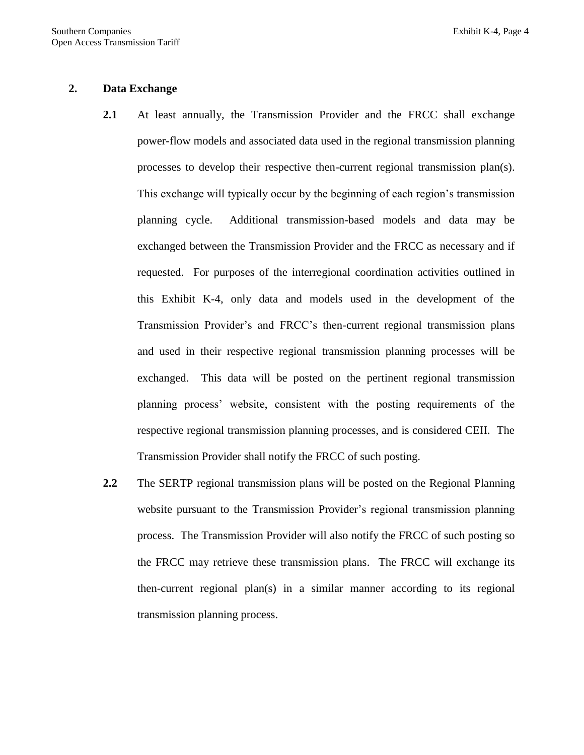### **2. Data Exchange**

- **2.1** At least annually, the Transmission Provider and the FRCC shall exchange power-flow models and associated data used in the regional transmission planning processes to develop their respective then-current regional transmission plan(s). This exchange will typically occur by the beginning of each region's transmission planning cycle. Additional transmission-based models and data may be exchanged between the Transmission Provider and the FRCC as necessary and if requested. For purposes of the interregional coordination activities outlined in this Exhibit K-4, only data and models used in the development of the Transmission Provider's and FRCC's then-current regional transmission plans and used in their respective regional transmission planning processes will be exchanged. This data will be posted on the pertinent regional transmission planning process' website, consistent with the posting requirements of the respective regional transmission planning processes, and is considered CEII. The Transmission Provider shall notify the FRCC of such posting.
- **2.2** The SERTP regional transmission plans will be posted on the Regional Planning website pursuant to the Transmission Provider's regional transmission planning process. The Transmission Provider will also notify the FRCC of such posting so the FRCC may retrieve these transmission plans. The FRCC will exchange its then-current regional plan(s) in a similar manner according to its regional transmission planning process.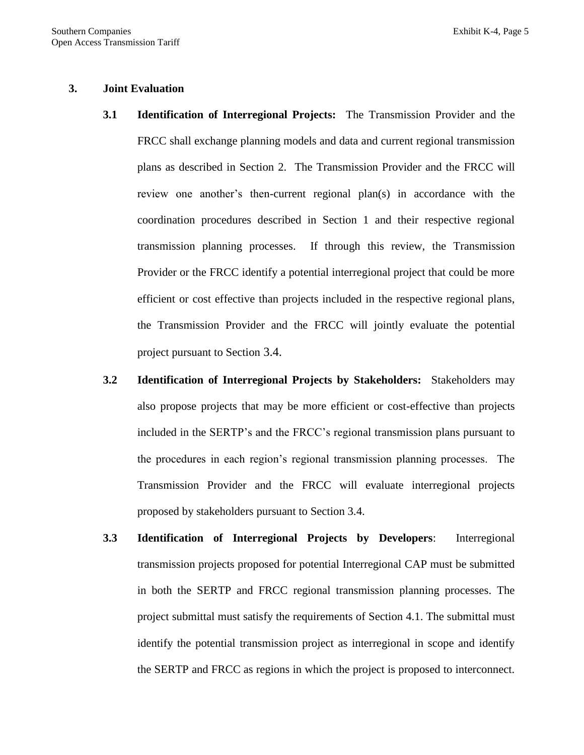### **3. Joint Evaluation**

- **3.1 Identification of Interregional Projects:** The Transmission Provider and the FRCC shall exchange planning models and data and current regional transmission plans as described in Section 2. The Transmission Provider and the FRCC will review one another's then-current regional plan(s) in accordance with the coordination procedures described in Section 1 and their respective regional transmission planning processes. If through this review, the Transmission Provider or the FRCC identify a potential interregional project that could be more efficient or cost effective than projects included in the respective regional plans, the Transmission Provider and the FRCC will jointly evaluate the potential project pursuant to Section 3.4.
- **3.2 Identification of Interregional Projects by Stakeholders:** Stakeholders may also propose projects that may be more efficient or cost-effective than projects included in the SERTP's and the FRCC's regional transmission plans pursuant to the procedures in each region's regional transmission planning processes. The Transmission Provider and the FRCC will evaluate interregional projects proposed by stakeholders pursuant to Section 3.4.
- **3.3 Identification of Interregional Projects by Developers**: Interregional transmission projects proposed for potential Interregional CAP must be submitted in both the SERTP and FRCC regional transmission planning processes. The project submittal must satisfy the requirements of Section 4.1. The submittal must identify the potential transmission project as interregional in scope and identify the SERTP and FRCC as regions in which the project is proposed to interconnect.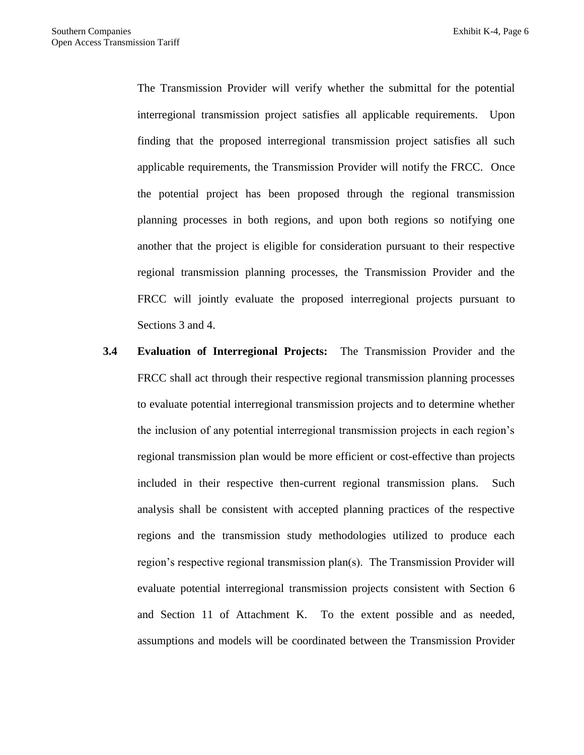The Transmission Provider will verify whether the submittal for the potential interregional transmission project satisfies all applicable requirements. Upon finding that the proposed interregional transmission project satisfies all such applicable requirements, the Transmission Provider will notify the FRCC. Once the potential project has been proposed through the regional transmission planning processes in both regions, and upon both regions so notifying one another that the project is eligible for consideration pursuant to their respective regional transmission planning processes, the Transmission Provider and the FRCC will jointly evaluate the proposed interregional projects pursuant to Sections 3 and 4.

**3.4 Evaluation of Interregional Projects:** The Transmission Provider and the FRCC shall act through their respective regional transmission planning processes to evaluate potential interregional transmission projects and to determine whether the inclusion of any potential interregional transmission projects in each region's regional transmission plan would be more efficient or cost-effective than projects included in their respective then-current regional transmission plans. Such analysis shall be consistent with accepted planning practices of the respective regions and the transmission study methodologies utilized to produce each region's respective regional transmission plan(s). The Transmission Provider will evaluate potential interregional transmission projects consistent with Section 6 and Section 11 of Attachment K. To the extent possible and as needed, assumptions and models will be coordinated between the Transmission Provider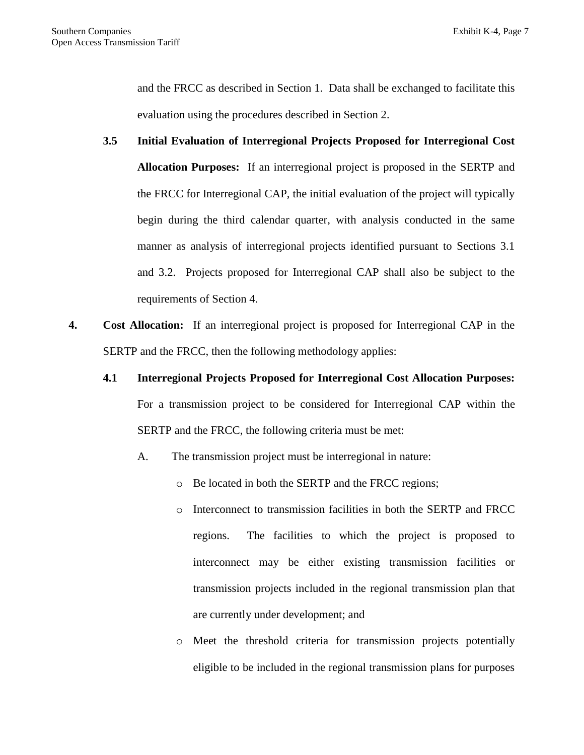and the FRCC as described in Section 1. Data shall be exchanged to facilitate this evaluation using the procedures described in Section 2.

- **3.5 Initial Evaluation of Interregional Projects Proposed for Interregional Cost Allocation Purposes:** If an interregional project is proposed in the SERTP and the FRCC for Interregional CAP, the initial evaluation of the project will typically begin during the third calendar quarter, with analysis conducted in the same manner as analysis of interregional projects identified pursuant to Sections 3.1 and 3.2. Projects proposed for Interregional CAP shall also be subject to the requirements of Section 4.
- **4. Cost Allocation:** If an interregional project is proposed for Interregional CAP in the SERTP and the FRCC, then the following methodology applies:
	- **4.1 Interregional Projects Proposed for Interregional Cost Allocation Purposes:** For a transmission project to be considered for Interregional CAP within the SERTP and the FRCC, the following criteria must be met:
		- A. The transmission project must be interregional in nature:
			- o Be located in both the SERTP and the FRCC regions;
			- o Interconnect to transmission facilities in both the SERTP and FRCC regions. The facilities to which the project is proposed to interconnect may be either existing transmission facilities or transmission projects included in the regional transmission plan that are currently under development; and
			- o Meet the threshold criteria for transmission projects potentially eligible to be included in the regional transmission plans for purposes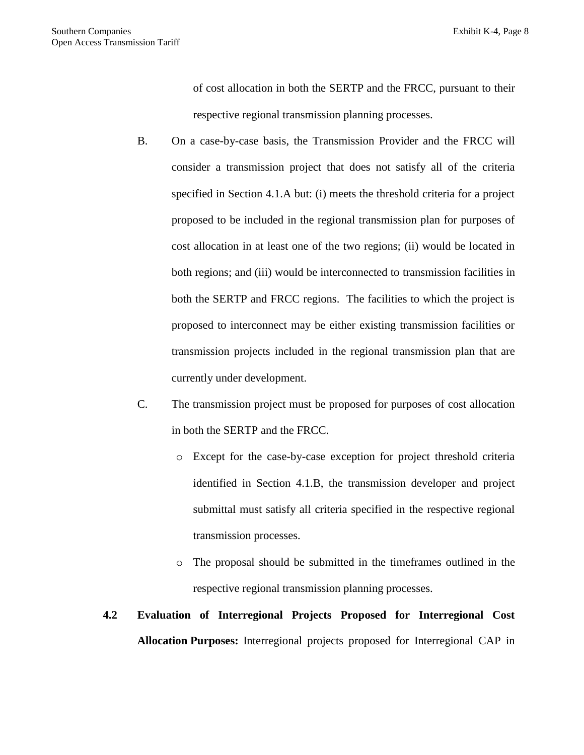of cost allocation in both the SERTP and the FRCC, pursuant to their respective regional transmission planning processes.

- B. On a case-by-case basis, the Transmission Provider and the FRCC will consider a transmission project that does not satisfy all of the criteria specified in Section 4.1.A but: (i) meets the threshold criteria for a project proposed to be included in the regional transmission plan for purposes of cost allocation in at least one of the two regions; (ii) would be located in both regions; and (iii) would be interconnected to transmission facilities in both the SERTP and FRCC regions. The facilities to which the project is proposed to interconnect may be either existing transmission facilities or transmission projects included in the regional transmission plan that are currently under development.
- C. The transmission project must be proposed for purposes of cost allocation in both the SERTP and the FRCC.
	- o Except for the case-by-case exception for project threshold criteria identified in Section 4.1.B, the transmission developer and project submittal must satisfy all criteria specified in the respective regional transmission processes.
	- o The proposal should be submitted in the timeframes outlined in the respective regional transmission planning processes.

## **4.2 Evaluation of Interregional Projects Proposed for Interregional Cost Allocation Purposes:** Interregional projects proposed for Interregional CAP in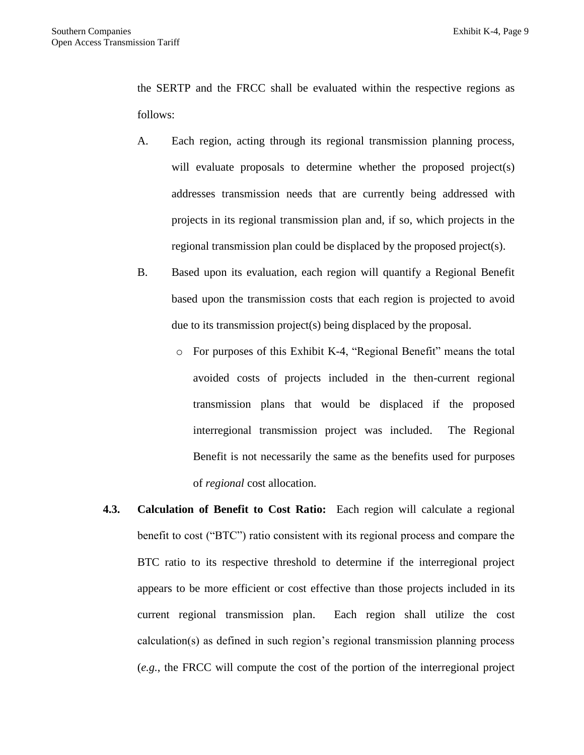the SERTP and the FRCC shall be evaluated within the respective regions as follows:

- A. Each region, acting through its regional transmission planning process, will evaluate proposals to determine whether the proposed project(s) addresses transmission needs that are currently being addressed with projects in its regional transmission plan and, if so, which projects in the regional transmission plan could be displaced by the proposed project(s).
- B. Based upon its evaluation, each region will quantify a Regional Benefit based upon the transmission costs that each region is projected to avoid due to its transmission project(s) being displaced by the proposal.
	- o For purposes of this Exhibit K-4, "Regional Benefit" means the total avoided costs of projects included in the then-current regional transmission plans that would be displaced if the proposed interregional transmission project was included. The Regional Benefit is not necessarily the same as the benefits used for purposes of *regional* cost allocation.
- **4.3. Calculation of Benefit to Cost Ratio:** Each region will calculate a regional benefit to cost ("BTC") ratio consistent with its regional process and compare the BTC ratio to its respective threshold to determine if the interregional project appears to be more efficient or cost effective than those projects included in its current regional transmission plan. Each region shall utilize the cost calculation(s) as defined in such region's regional transmission planning process (*e.g.*, the FRCC will compute the cost of the portion of the interregional project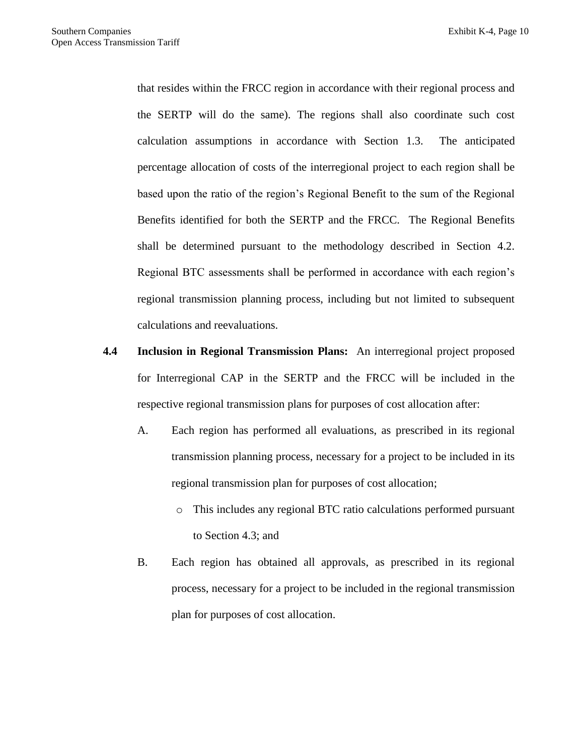that resides within the FRCC region in accordance with their regional process and the SERTP will do the same). The regions shall also coordinate such cost calculation assumptions in accordance with Section 1.3. The anticipated percentage allocation of costs of the interregional project to each region shall be based upon the ratio of the region's Regional Benefit to the sum of the Regional Benefits identified for both the SERTP and the FRCC. The Regional Benefits shall be determined pursuant to the methodology described in Section 4.2. Regional BTC assessments shall be performed in accordance with each region's regional transmission planning process, including but not limited to subsequent calculations and reevaluations.

- **4.4 Inclusion in Regional Transmission Plans:** An interregional project proposed for Interregional CAP in the SERTP and the FRCC will be included in the respective regional transmission plans for purposes of cost allocation after:
	- A. Each region has performed all evaluations, as prescribed in its regional transmission planning process, necessary for a project to be included in its regional transmission plan for purposes of cost allocation;
		- o This includes any regional BTC ratio calculations performed pursuant to Section 4.3; and
	- B. Each region has obtained all approvals, as prescribed in its regional process, necessary for a project to be included in the regional transmission plan for purposes of cost allocation.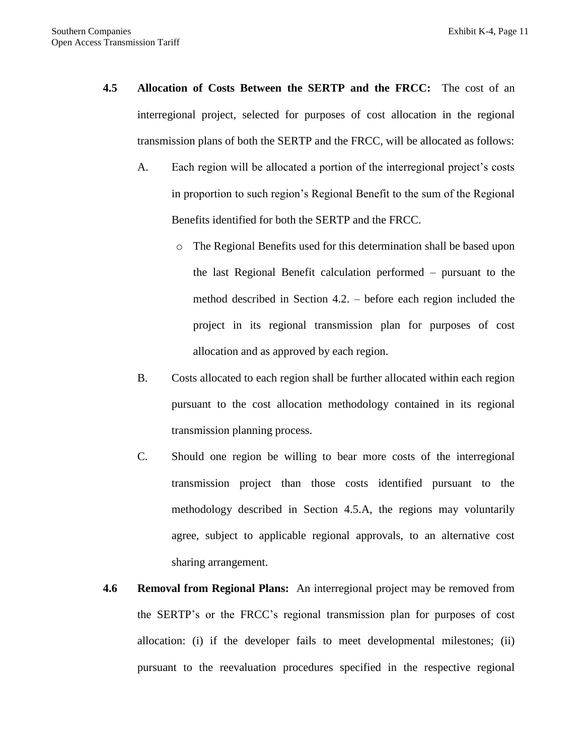- **4.5 Allocation of Costs Between the SERTP and the FRCC:** The cost of an interregional project, selected for purposes of cost allocation in the regional transmission plans of both the SERTP and the FRCC, will be allocated as follows:
	- A. Each region will be allocated a portion of the interregional project's costs in proportion to such region's Regional Benefit to the sum of the Regional Benefits identified for both the SERTP and the FRCC.
		- o The Regional Benefits used for this determination shall be based upon the last Regional Benefit calculation performed – pursuant to the method described in Section 4.2. – before each region included the project in its regional transmission plan for purposes of cost allocation and as approved by each region.
	- B. Costs allocated to each region shall be further allocated within each region pursuant to the cost allocation methodology contained in its regional transmission planning process.
	- C. Should one region be willing to bear more costs of the interregional transmission project than those costs identified pursuant to the methodology described in Section 4.5.A, the regions may voluntarily agree, subject to applicable regional approvals, to an alternative cost sharing arrangement.
- **4.6 Removal from Regional Plans:** An interregional project may be removed from the SERTP's or the FRCC's regional transmission plan for purposes of cost allocation: (i) if the developer fails to meet developmental milestones; (ii) pursuant to the reevaluation procedures specified in the respective regional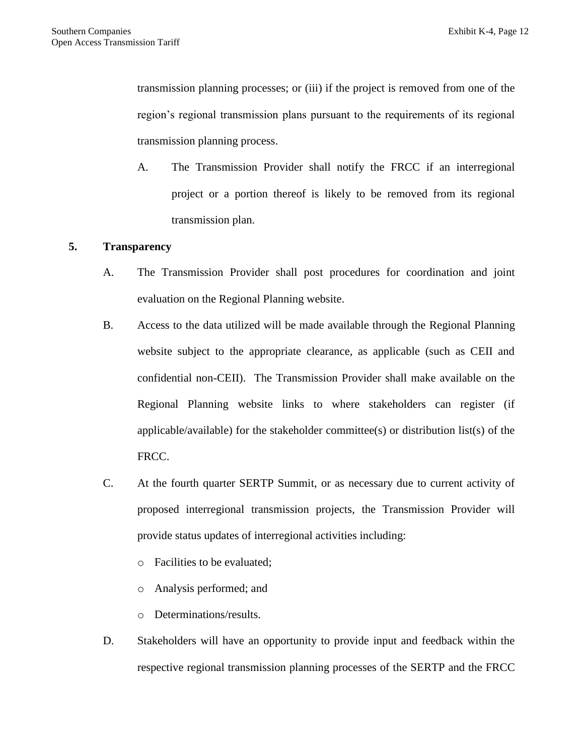transmission planning processes; or (iii) if the project is removed from one of the region's regional transmission plans pursuant to the requirements of its regional transmission planning process.

A. The Transmission Provider shall notify the FRCC if an interregional project or a portion thereof is likely to be removed from its regional transmission plan.

## **5. Transparency**

- A. The Transmission Provider shall post procedures for coordination and joint evaluation on the Regional Planning website.
- B. Access to the data utilized will be made available through the Regional Planning website subject to the appropriate clearance, as applicable (such as CEII and confidential non-CEII). The Transmission Provider shall make available on the Regional Planning website links to where stakeholders can register (if applicable/available) for the stakeholder committee(s) or distribution list(s) of the FRCC.
- C. At the fourth quarter SERTP Summit, or as necessary due to current activity of proposed interregional transmission projects, the Transmission Provider will provide status updates of interregional activities including:
	- o Facilities to be evaluated;
	- o Analysis performed; and
	- o Determinations/results.
- D. Stakeholders will have an opportunity to provide input and feedback within the respective regional transmission planning processes of the SERTP and the FRCC